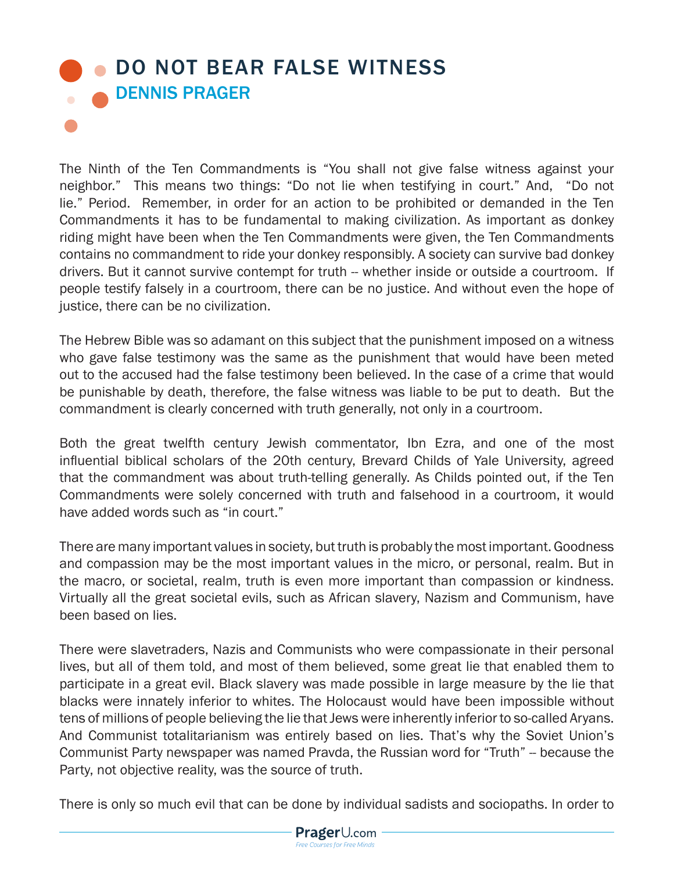## **OD NOT BEAR FALSE WITNESS** DENNIS PRAGER  $\bullet$

The Ninth of the Ten Commandments is "You shall not give false witness against your neighbor." This means two things: "Do not lie when testifying in court." And, "Do not lie." Period. Remember, in order for an action to be prohibited or demanded in the Ten Commandments it has to be fundamental to making civilization. As important as donkey riding might have been when the Ten Commandments were given, the Ten Commandments contains no commandment to ride your donkey responsibly. A society can survive bad donkey drivers. But it cannot survive contempt for truth -- whether inside or outside a courtroom. If people testify falsely in a courtroom, there can be no justice. And without even the hope of justice, there can be no civilization.

The Hebrew Bible was so adamant on this subject that the punishment imposed on a witness who gave false testimony was the same as the punishment that would have been meted out to the accused had the false testimony been believed. In the case of a crime that would be punishable by death, therefore, the false witness was liable to be put to death. But the commandment is clearly concerned with truth generally, not only in a courtroom.

Both the great twelfth century Jewish commentator, Ibn Ezra, and one of the most influential biblical scholars of the 20th century, Brevard Childs of Yale University, agreed that the commandment was about truth-telling generally. As Childs pointed out, if the Ten Commandments were solely concerned with truth and falsehood in a courtroom, it would have added words such as "in court."

There are many important values in society, but truth is probably the most important. Goodness and compassion may be the most important values in the micro, or personal, realm. But in the macro, or societal, realm, truth is even more important than compassion or kindness. Virtually all the great societal evils, such as African slavery, Nazism and Communism, have been based on lies.

There were slavetraders, Nazis and Communists who were compassionate in their personal lives, but all of them told, and most of them believed, some great lie that enabled them to participate in a great evil. Black slavery was made possible in large measure by the lie that blacks were innately inferior to whites. The Holocaust would have been impossible without tens of millions of people believing the lie that Jews were inherently inferior to so-called Aryans. And Communist totalitarianism was entirely based on lies. That's why the Soviet Union's Communist Party newspaper was named Pravda, the Russian word for "Truth" -- because the Party, not objective reality, was the source of truth.

There is only so much evil that can be done by individual sadists and sociopaths. In order to